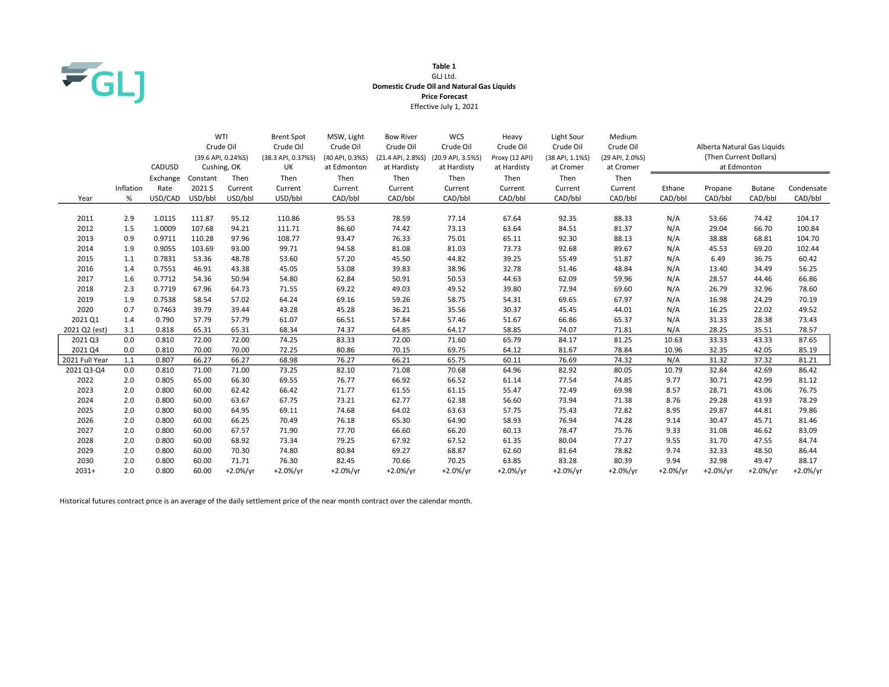

## Table 1 GLJ Ltd. Domestic Crude Oil and Natural Gas Liquids Price Forecast Effective July 1, 2021

|                |           |          |          | WTI                | <b>Brent Spot</b>  | MSW, Light      | <b>Bow River</b>  | <b>WCS</b>        | Heavy          | Light Sour      | Medium          |                             |                        |               |            |
|----------------|-----------|----------|----------|--------------------|--------------------|-----------------|-------------------|-------------------|----------------|-----------------|-----------------|-----------------------------|------------------------|---------------|------------|
|                |           |          |          | Crude Oil          | Crude Oil          | Crude Oil       | Crude Oil         | Crude Oil         | Crude Oil      | Crude Oil       | Crude Oil       | Alberta Natural Gas Liquids |                        |               |            |
|                |           |          |          | (39.6 API, 0.24%S) | (38.3 API, 0.37%S) | (40 API, 0.3%S) | (21.4 API, 2.8%S) | (20.9 API, 3.5%S) | Proxy (12 API) | (38 API, 1.1%S) | (29 API, 2.0%S) |                             | (Then Current Dollars) |               |            |
|                |           | CADUSD   |          | Cushing, OK        | UK                 | at Edmonton     | at Hardisty       | at Hardisty       | at Hardisty    | at Cromer       | at Cromer       |                             |                        | at Edmonton   |            |
|                |           | Exchange | Constant | Then               | Then               | Then            | Then              | Then              | Then           | Then            | Then            |                             |                        |               |            |
|                | Inflation | Rate     | 2021\$   | Current            | Current            | Current         | Current           | Current           | Current        | Current         | Current         | Ethane                      | Propane                | <b>Butane</b> | Condensate |
| Year           | %         | USD/CAD  | USD/bbl  | USD/bbl            | USD/bbl            | CAD/bbl         | CAD/bbl           | CAD/bbl           | CAD/bbl        | CAD/bbl         | CAD/bbl         | CAD/bbl                     | CAD/bbl                | CAD/bbl       | CAD/bbl    |
|                |           |          |          |                    |                    |                 |                   |                   |                |                 |                 |                             |                        |               |            |
| 2011           | 2.9       | 1.0115   | 111.87   | 95.12              | 110.86             | 95.53           | 78.59             | 77.14             | 67.64          | 92.35           | 88.33           | N/A                         | 53.66                  | 74.42         | 104.17     |
| 2012           | 1.5       | 1.0009   | 107.68   | 94.21              | 111.71             | 86.60           | 74.42             | 73.13             | 63.64          | 84.51           | 81.37           | N/A                         | 29.04                  | 66.70         | 100.84     |
| 2013           | 0.9       | 0.9711   | 110.28   | 97.96              | 108.77             | 93.47           | 76.33             | 75.01             | 65.11          | 92.30           | 88.13           | N/A                         | 38.88                  | 68.81         | 104.70     |
| 2014           | 1.9       | 0.9055   | 103.69   | 93.00              | 99.71              | 94.58           | 81.08             | 81.03             | 73.73          | 92.68           | 89.67           | N/A                         | 45.53                  | 69.20         | 102.44     |
| 2015           | 1.1       | 0.7831   | 53.36    | 48.78              | 53.60              | 57.20           | 45.50             | 44.82             | 39.25          | 55.49           | 51.87           | N/A                         | 6.49                   | 36.75         | 60.42      |
| 2016           | 1.4       | 0.7551   | 46.91    | 43.38              | 45.05              | 53.08           | 39.83             | 38.96             | 32.78          | 51.46           | 48.84           | N/A                         | 13.40                  | 34.49         | 56.25      |
| 2017           | 1.6       | 0.7712   | 54.36    | 50.94              | 54.80              | 62.84           | 50.91             | 50.53             | 44.63          | 62.09           | 59.96           | N/A                         | 28.57                  | 44.46         | 66.86      |
| 2018           | 2.3       | 0.7719   | 67.96    | 64.73              | 71.55              | 69.22           | 49.03             | 49.52             | 39.80          | 72.94           | 69.60           | N/A                         | 26.79                  | 32.96         | 78.60      |
| 2019           | 1.9       | 0.7538   | 58.54    | 57.02              | 64.24              | 69.16           | 59.26             | 58.75             | 54.31          | 69.65           | 67.97           | N/A                         | 16.98                  | 24.29         | 70.19      |
| 2020           | 0.7       | 0.7463   | 39.79    | 39.44              | 43.28              | 45.28           | 36.21             | 35.56             | 30.37          | 45.45           | 44.01           | N/A                         | 16.25                  | 22.02         | 49.52      |
| 2021 Q1        | 1.4       | 0.790    | 57.79    | 57.79              | 61.07              | 66.51           | 57.84             | 57.46             | 51.67          | 66.86           | 65.37           | N/A                         | 31.33                  | 28.38         | 73.43      |
| 2021 Q2 (est)  | 3.1       | 0.818    | 65.31    | 65.31              | 68.34              | 74.37           | 64.85             | 64.17             | 58.85          | 74.07           | 71.81           | N/A                         | 28.25                  | 35.51         | 78.57      |
| 2021 Q3        | 0.0       | 0.810    | 72.00    | 72.00              | 74.25              | 83.33           | 72.00             | 71.60             | 65.79          | 84.17           | 81.25           | 10.63                       | 33.33                  | 43.33         | 87.65      |
| 2021 Q4        | 0.0       | 0.810    | 70.00    | 70.00              | 72.25              | 80.86           | 70.15             | 69.75             | 64.12          | 81.67           | 78.84           | 10.96                       | 32.35                  | 42.05         | 85.19      |
| 2021 Full Year | 1.1       | 0.807    | 66.27    | 66.27              | 68.98              | 76.27           | 66.21             | 65.75             | 60.11          | 76.69           | 74.32           | N/A                         | 31.32                  | 37.32         | 81.21      |
| 2021 Q3-Q4     | 0.0       | 0.810    | 71.00    | 71.00              | 73.25              | 82.10           | 71.08             | 70.68             | 64.96          | 82.92           | 80.05           | 10.79                       | 32.84                  | 42.69         | 86.42      |
| 2022           | 2.0       | 0.805    | 65.00    | 66.30              | 69.55              | 76.77           | 66.92             | 66.52             | 61.14          | 77.54           | 74.85           | 9.77                        | 30.71                  | 42.99         | 81.12      |
| 2023           | 2.0       | 0.800    | 60.00    | 62.42              | 66.42              | 71.77           | 61.55             | 61.15             | 55.47          | 72.49           | 69.98           | 8.57                        | 28.71                  | 43.06         | 76.75      |
| 2024           | 2.0       | 0.800    | 60.00    | 63.67              | 67.75              | 73.21           | 62.77             | 62.38             | 56.60          | 73.94           | 71.38           | 8.76                        | 29.28                  | 43.93         | 78.29      |
| 2025           | 2.0       | 0.800    | 60.00    | 64.95              | 69.11              | 74.68           | 64.02             | 63.63             | 57.75          | 75.43           | 72.82           | 8.95                        | 29.87                  | 44.81         | 79.86      |
| 2026           | 2.0       | 0.800    | 60.00    | 66.25              | 70.49              | 76.18           | 65.30             | 64.90             | 58.93          | 76.94           | 74.28           | 9.14                        | 30.47                  | 45.71         | 81.46      |
| 2027           | 2.0       | 0.800    | 60.00    | 67.57              | 71.90              | 77.70           | 66.60             | 66.20             | 60.13          | 78.47           | 75.76           | 9.33                        | 31.08                  | 46.62         | 83.09      |
| 2028           | 2.0       | 0.800    | 60.00    | 68.92              | 73.34              | 79.25           | 67.92             | 67.52             | 61.35          | 80.04           | 77.27           | 9.55                        | 31.70                  | 47.55         | 84.74      |
| 2029           | 2.0       | 0.800    | 60.00    | 70.30              | 74.80              | 80.84           | 69.27             | 68.87             | 62.60          | 81.64           | 78.82           | 9.74                        | 32.33                  | 48.50         | 86.44      |
| 2030           | 2.0       | 0.800    | 60.00    | 71.71              | 76.30              | 82.45           | 70.66             | 70.25             | 63.85          | 83.28           | 80.39           | 9.94                        | 32.98                  | 49.47         | 88.17      |
| $2031+$        | 2.0       | 0.800    | 60.00    | $+2.0%/vr$         | $+2.0%/yr$         | $+2.0%/yr$      | $+2.0%/vr$        | $+2.0%/vr$        | $+2.0%/vr$     | $+2.0%/yr$      | $+2.0%/yr$      | $+2.0%/yr$                  | $+2.0%/yr$             | $+2.0\%/yr$   | $+2.0%/yr$ |

Historical futures contract price is an average of the daily settlement price of the near month contract over the calendar month.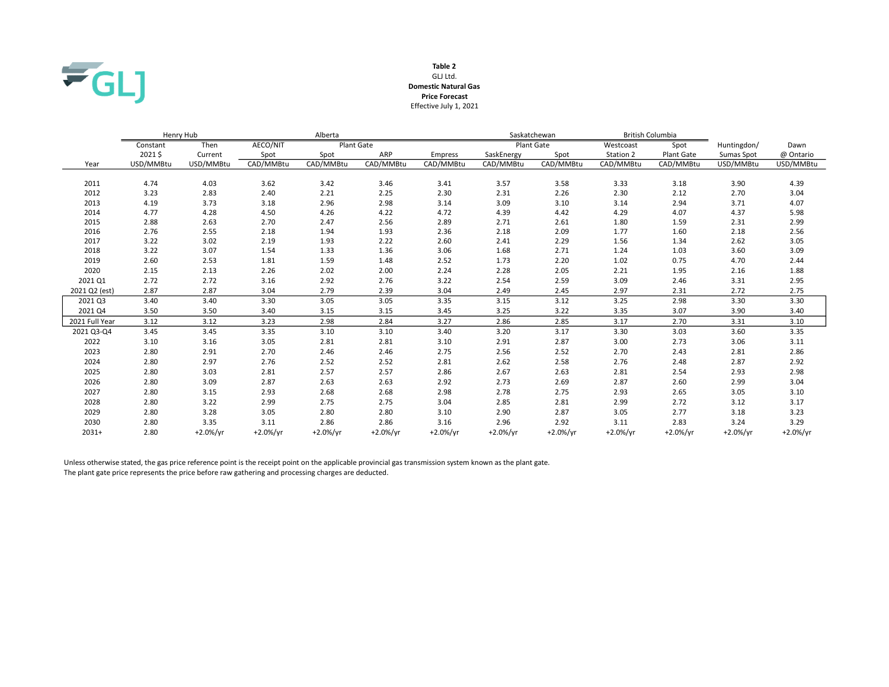

### GLJ Ltd. Table 2 Domestic Natural Gas Effective July 1, 2021 Price Forecast

|                | Henry Hub |            |            | Alberta    |           |                |             | Saskatchewan      | <b>British Columbia</b> |             |             |             |
|----------------|-----------|------------|------------|------------|-----------|----------------|-------------|-------------------|-------------------------|-------------|-------------|-------------|
|                | Constant  | Then       | AECO/NIT   | Plant Gate |           |                |             | <b>Plant Gate</b> | Westcoast               | Spot        | Huntingdon/ | Dawn        |
|                | 2021\$    | Current    | Spot       | Spot       | ARP       | <b>Empress</b> | SaskEnergy  | Spot              | Station 2               | Plant Gate  | Sumas Spot  | @ Ontario   |
| Year           | USD/MMBtu | USD/MMBtu  | CAD/MMBtu  | CAD/MMBtu  | CAD/MMBtu | CAD/MMBtu      | CAD/MMBtu   | CAD/MMBtu         | CAD/MMBtu               | CAD/MMBtu   | USD/MMBtu   | USD/MMBtu   |
|                |           |            |            |            |           |                |             |                   |                         |             |             |             |
| 2011           | 4.74      | 4.03       | 3.62       | 3.42       | 3.46      | 3.41           | 3.57        | 3.58              | 3.33                    | 3.18        | 3.90        | 4.39        |
| 2012           | 3.23      | 2.83       | 2.40       | 2.21       | 2.25      | 2.30           | 2.31        | 2.26              | 2.30                    | 2.12        | 2.70        | 3.04        |
| 2013           | 4.19      | 3.73       | 3.18       | 2.96       | 2.98      | 3.14           | 3.09        | 3.10              | 3.14                    | 2.94        | 3.71        | 4.07        |
| 2014           | 4.77      | 4.28       | 4.50       | 4.26       | 4.22      | 4.72           | 4.39        | 4.42              | 4.29                    | 4.07        | 4.37        | 5.98        |
| 2015           | 2.88      | 2.63       | 2.70       | 2.47       | 2.56      | 2.89           | 2.71        | 2.61              | 1.80                    | 1.59        | 2.31        | 2.99        |
| 2016           | 2.76      | 2.55       | 2.18       | 1.94       | 1.93      | 2.36           | 2.18        | 2.09              | 1.77                    | 1.60        | 2.18        | 2.56        |
| 2017           | 3.22      | 3.02       | 2.19       | 1.93       | 2.22      | 2.60           | 2.41        | 2.29              | 1.56                    | 1.34        | 2.62        | 3.05        |
| 2018           | 3.22      | 3.07       | 1.54       | 1.33       | 1.36      | 3.06           | 1.68        | 2.71              | 1.24                    | 1.03        | 3.60        | 3.09        |
| 2019           | 2.60      | 2.53       | 1.81       | 1.59       | 1.48      | 2.52           | 1.73        | 2.20              | 1.02                    | 0.75        | 4.70        | 2.44        |
| 2020           | 2.15      | 2.13       | 2.26       | 2.02       | 2.00      | 2.24           | 2.28        | 2.05              | 2.21                    | 1.95        | 2.16        | 1.88        |
| 2021 Q1        | 2.72      | 2.72       | 3.16       | 2.92       | 2.76      | 3.22           | 2.54        | 2.59              | 3.09                    | 2.46        | 3.31        | 2.95        |
| 2021 Q2 (est)  | 2.87      | 2.87       | 3.04       | 2.79       | 2.39      | 3.04           | 2.49        | 2.45              | 2.97                    | 2.31        | 2.72        | 2.75        |
| 2021 Q3        | 3.40      | 3.40       | 3.30       | 3.05       | 3.05      | 3.35           | 3.15        | 3.12              | 3.25                    | 2.98        | 3.30        | 3.30        |
| 2021 Q4        | 3.50      | 3.50       | 3.40       | 3.15       | 3.15      | 3.45           | 3.25        | 3.22              | 3.35                    | 3.07        | 3.90        | 3.40        |
| 2021 Full Year | 3.12      | 3.12       | 3.23       | 2.98       | 2.84      | 3.27           | 2.86        | 2.85              | 3.17                    | 2.70        | 3.31        | 3.10        |
| 2021 Q3-Q4     | 3.45      | 3.45       | 3.35       | 3.10       | 3.10      | 3.40           | 3.20        | 3.17              | 3.30                    | 3.03        | 3.60        | 3.35        |
| 2022           | 3.10      | 3.16       | 3.05       | 2.81       | 2.81      | 3.10           | 2.91        | 2.87              | 3.00                    | 2.73        | 3.06        | 3.11        |
| 2023           | 2.80      | 2.91       | 2.70       | 2.46       | 2.46      | 2.75           | 2.56        | 2.52              | 2.70                    | 2.43        | 2.81        | 2.86        |
| 2024           | 2.80      | 2.97       | 2.76       | 2.52       | 2.52      | 2.81           | 2.62        | 2.58              | 2.76                    | 2.48        | 2.87        | 2.92        |
| 2025           | 2.80      | 3.03       | 2.81       | 2.57       | 2.57      | 2.86           | 2.67        | 2.63              | 2.81                    | 2.54        | 2.93        | 2.98        |
| 2026           | 2.80      | 3.09       | 2.87       | 2.63       | 2.63      | 2.92           | 2.73        | 2.69              | 2.87                    | 2.60        | 2.99        | 3.04        |
| 2027           | 2.80      | 3.15       | 2.93       | 2.68       | 2.68      | 2.98           | 2.78        | 2.75              | 2.93                    | 2.65        | 3.05        | 3.10        |
| 2028           | 2.80      | 3.22       | 2.99       | 2.75       | 2.75      | 3.04           | 2.85        | 2.81              | 2.99                    | 2.72        | 3.12        | 3.17        |
| 2029           | 2.80      | 3.28       | 3.05       | 2.80       | 2.80      | 3.10           | 2.90        | 2.87              | 3.05                    | 2.77        | 3.18        | 3.23        |
| 2030           | 2.80      | 3.35       | 3.11       | 2.86       | 2.86      | 3.16           | 2.96        | 2.92              | 3.11                    | 2.83        | 3.24        | 3.29        |
| $2031+$        | 2.80      | $+2.0%/yr$ | $+2.0%/yr$ | $+2.0%/yr$ | +2.0%/yr  | $+2.0%/yr$     | $+2.0\%/yr$ | $+2.0\%/yr$       | $+2.0%/vr$              | $+2.0\%/yr$ | $+2.0%/yr$  | $+2.0\%/yr$ |

Unless otherwise stated, the gas price reference point is the receipt point on the applicable provincial gas transmission system known as the plant gate. The plant gate price represents the price before raw gathering and processing charges are deducted.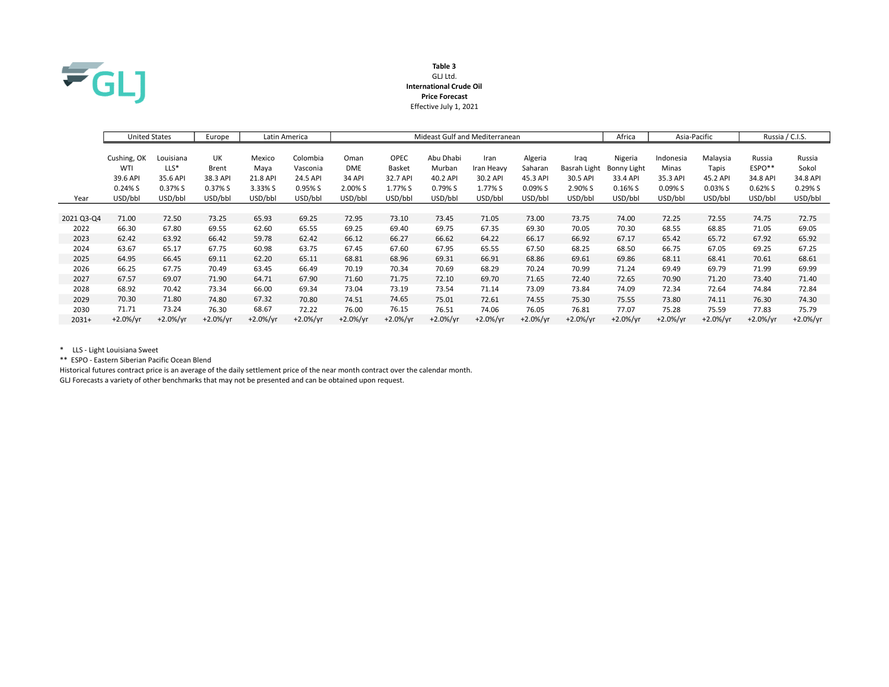

## Table 3 GLJ Ltd. International Crude Oil Price Forecast Effective July 1, 2021

|            | <b>United States</b> |             | Europe     |            | Latin America | Mideast Gulf and Mediterranean |             |            |            |            |              | Africa      | Asia-Pacific |            | Russia / C.I.S. |             |
|------------|----------------------|-------------|------------|------------|---------------|--------------------------------|-------------|------------|------------|------------|--------------|-------------|--------------|------------|-----------------|-------------|
|            |                      |             |            |            |               |                                |             |            |            |            |              |             |              |            |                 |             |
|            | Cushing, OK          | Louisiana   | UK         | Mexico     | Colombia      | Oman                           | <b>OPEC</b> | Abu Dhabi  | Iran       | Algeria    | Iraq         | Nigeria     | Indonesia    | Malaysia   | Russia          | Russia      |
|            | WTI                  | $LLS^*$     | Brent      | Maya       | Vasconia      | <b>DME</b>                     | Basket      | Murban     | Iran Heavy | Saharan    | Basrah Light | Bonny Light | <b>Minas</b> | Tapis      | ESPO**          | Sokol       |
|            | 39.6 API             | 35.6 API    | 38.3 API   | 21.8 API   | 24.5 API      | <b>34 API</b>                  | 32.7 API    | 40.2 API   | 30.2 API   | 45.3 API   | 30.5 API     | 33.4 API    | 35.3 API     | 45.2 API   | 34.8 API        | 34.8 API    |
|            | $0.24\%$ S           | 0.37% S     | 0.37% S    | 3.33% S    | 0.95% S       | 2.00% S                        | 1.77% S     | 0.79% S    | 1.77% S    | 0.09%S     | 2.90% S      | $0.16\%$ S  | 0.09% S      | 0.03%S     | 0.62%S          | 0.29%S      |
| Year       | USD/bbl              | USD/bbl     | USD/bbl    | USD/bbl    | USD/bbl       | USD/bbl                        | USD/bbl     | USD/bbl    | USD/bbl    | USD/bbl    | USD/bbl      | USD/bbl     | USD/bbl      | USD/bbl    | USD/bbl         | USD/bbl     |
|            |                      |             |            |            |               |                                |             |            |            |            |              |             |              |            |                 |             |
| 2021 Q3-Q4 | 71.00                | 72.50       | 73.25      | 65.93      | 69.25         | 72.95                          | 73.10       | 73.45      | 71.05      | 73.00      | 73.75        | 74.00       | 72.25        | 72.55      | 74.75           | 72.75       |
| 2022       | 66.30                | 67.80       | 69.55      | 62.60      | 65.55         | 69.25                          | 69.40       | 69.75      | 67.35      | 69.30      | 70.05        | 70.30       | 68.55        | 68.85      | 71.05           | 69.05       |
| 2023       | 62.42                | 63.92       | 66.42      | 59.78      | 62.42         | 66.12                          | 66.27       | 66.62      | 64.22      | 66.17      | 66.92        | 67.17       | 65.42        | 65.72      | 67.92           | 65.92       |
| 2024       | 63.67                | 65.17       | 67.75      | 60.98      | 63.75         | 67.45                          | 67.60       | 67.95      | 65.55      | 67.50      | 68.25        | 68.50       | 66.75        | 67.05      | 69.25           | 67.25       |
| 2025       | 64.95                | 66.45       | 69.11      | 62.20      | 65.11         | 68.81                          | 68.96       | 69.31      | 66.91      | 68.86      | 69.61        | 69.86       | 68.11        | 68.41      | 70.61           | 68.61       |
| 2026       | 66.25                | 67.75       | 70.49      | 63.45      | 66.49         | 70.19                          | 70.34       | 70.69      | 68.29      | 70.24      | 70.99        | 71.24       | 69.49        | 69.79      | 71.99           | 69.99       |
| 2027       | 67.57                | 69.07       | 71.90      | 64.71      | 67.90         | 71.60                          | 71.75       | 72.10      | 69.70      | 71.65      | 72.40        | 72.65       | 70.90        | 71.20      | 73.40           | 71.40       |
| 2028       | 68.92                | 70.42       | 73.34      | 66.00      | 69.34         | 73.04                          | 73.19       | 73.54      | 71.14      | 73.09      | 73.84        | 74.09       | 72.34        | 72.64      | 74.84           | 72.84       |
| 2029       | 70.30                | 71.80       | 74.80      | 67.32      | 70.80         | 74.51                          | 74.65       | 75.01      | 72.61      | 74.55      | 75.30        | 75.55       | 73.80        | 74.11      | 76.30           | 74.30       |
| 2030       | 71.71                | 73.24       | 76.30      | 68.67      | 72.22         | 76.00                          | 76.15       | 76.51      | 74.06      | 76.05      | 76.81        | 77.07       | 75.28        | 75.59      | 77.83           | 75.79       |
| $2031+$    | $+2.0%/yr$           | $+2.0\%/yr$ | $+2.0%/vr$ | $+2.0%/vr$ | $+2.0\%/yr$   | $+2.0%/yr$                     | $+2.0%/yr$  | $+2.0%/vr$ | $+2.0%/yr$ | $+2.0%/yr$ | $+2.0%/vr$   | $+2.0\%/yr$ | $+2.0\%/yr$  | $+2.0%/vr$ | $+2.0%/yr$      | $+2.0\%/yr$ |

\* LLS - Light Louisiana Sweet

\*\* ESPO - Eastern Siberian Pacific Ocean Blend

Historical futures contract price is an average of the daily settlement price of the near month contract over the calendar month. GLJ Forecasts a variety of other benchmarks that may not be presented and can be obtained upon request.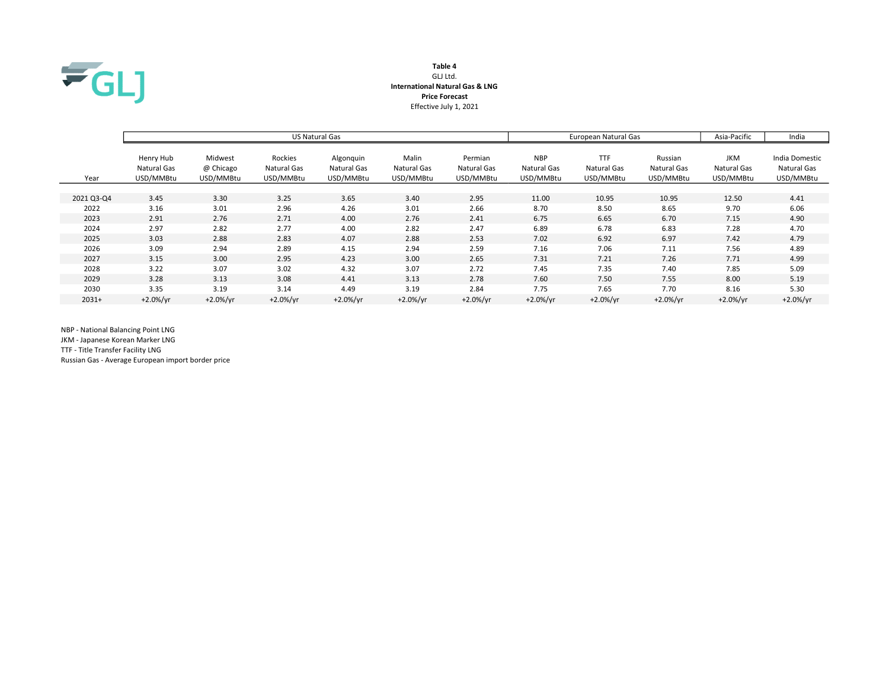

# Table 4 GLJ Ltd. International Natural Gas & LNG Price Forecast Effective July 1, 2021

|            |                          |                      |                        | <b>US Natural Gas</b>    |                      | European Natural Gas   | Asia-Pacific              | India                     |                        |                           |                               |
|------------|--------------------------|----------------------|------------------------|--------------------------|----------------------|------------------------|---------------------------|---------------------------|------------------------|---------------------------|-------------------------------|
|            | Henry Hub<br>Natural Gas | Midwest<br>@ Chicago | Rockies<br>Natural Gas | Algonquin<br>Natural Gas | Malin<br>Natural Gas | Permian<br>Natural Gas | <b>NBP</b><br>Natural Gas | <b>TTF</b><br>Natural Gas | Russian<br>Natural Gas | <b>JKM</b><br>Natural Gas | India Domestic<br>Natural Gas |
| Year       | USD/MMBtu                | USD/MMBtu            | USD/MMBtu              | USD/MMBtu                | USD/MMBtu            | USD/MMBtu              | USD/MMBtu                 | USD/MMBtu                 | USD/MMBtu              | USD/MMBtu                 | USD/MMBtu                     |
|            |                          |                      |                        |                          |                      |                        |                           |                           |                        |                           |                               |
| 2021 Q3-Q4 | 3.45                     | 3.30                 | 3.25                   | 3.65                     | 3.40                 | 2.95                   | 11.00                     | 10.95                     | 10.95                  | 12.50                     | 4.41                          |
| 2022       | 3.16                     | 3.01                 | 2.96                   | 4.26                     | 3.01                 | 2.66                   | 8.70                      | 8.50                      | 8.65                   | 9.70                      | 6.06                          |
| 2023       | 2.91                     | 2.76                 | 2.71                   | 4.00                     | 2.76                 | 2.41                   | 6.75                      | 6.65                      | 6.70                   | 7.15                      | 4.90                          |
| 2024       | 2.97                     | 2.82                 | 2.77                   | 4.00                     | 2.82                 | 2.47                   | 6.89                      | 6.78                      | 6.83                   | 7.28                      | 4.70                          |
| 2025       | 3.03                     | 2.88                 | 2.83                   | 4.07                     | 2.88                 | 2.53                   | 7.02                      | 6.92                      | 6.97                   | 7.42                      | 4.79                          |
| 2026       | 3.09                     | 2.94                 | 2.89                   | 4.15                     | 2.94                 | 2.59                   | 7.16                      | 7.06                      | 7.11                   | 7.56                      | 4.89                          |
| 2027       | 3.15                     | 3.00                 | 2.95                   | 4.23                     | 3.00                 | 2.65                   | 7.31                      | 7.21                      | 7.26                   | 7.71                      | 4.99                          |
| 2028       | 3.22                     | 3.07                 | 3.02                   | 4.32                     | 3.07                 | 2.72                   | 7.45                      | 7.35                      | 7.40                   | 7.85                      | 5.09                          |
| 2029       | 3.28                     | 3.13                 | 3.08                   | 4.41                     | 3.13                 | 2.78                   | 7.60                      | 7.50                      | 7.55                   | 8.00                      | 5.19                          |
| 2030       | 3.35                     | 3.19                 | 3.14                   | 4.49                     | 3.19                 | 2.84                   | 7.75                      | 7.65                      | 7.70                   | 8.16                      | 5.30                          |
| $2031+$    | $+2.0\%/yr$              | $+2.0%/yr$           | $+2.0%/yr$             | $+2.0\%/yr$              | $+2.0\%/yr$          | $+2.0%/yr$             | $+2.0%/yr$                | $+2.0\%/yr$               | $+2.0\%/yr$            | $+2.0\%/yr$               | $+2.0%/yr$                    |

NBP - National Balancing Point LNG

JKM - Japanese Korean Marker LNG

TTF - Title Transfer Facility LNG

Russian Gas - Average European import border price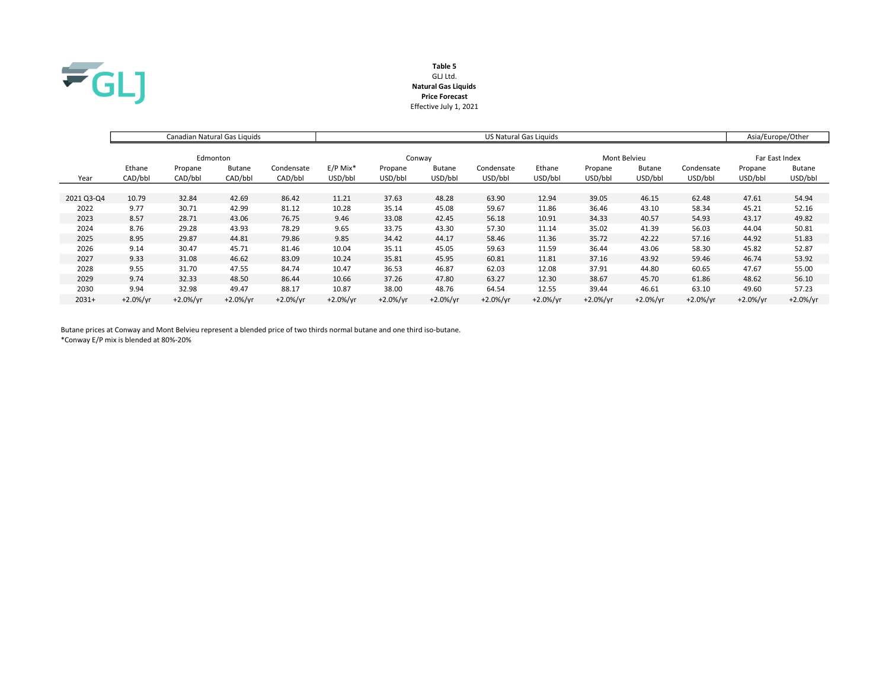

# Table 5 GLJ Ltd. Natural Gas Liquids Price Forecast Effective July 1, 2021

|            |             | Canadian Natural Gas Liquids |               |             | US Natural Gas Liquids |            |               |             |             |              |                |             | Asia/Europe/Other |               |
|------------|-------------|------------------------------|---------------|-------------|------------------------|------------|---------------|-------------|-------------|--------------|----------------|-------------|-------------------|---------------|
|            |             |                              |               |             |                        |            |               |             |             |              |                |             |                   |               |
|            |             | Edmonton                     |               |             |                        |            | Conway        |             |             | Mont Belvieu | Far East Index |             |                   |               |
|            | Ethane      | Propane                      | <b>Butane</b> | Condensate  | $E/P$ Mix <sup>*</sup> | Propane    | <b>Butane</b> | Condensate  | Ethane      | Propane      | <b>Butane</b>  | Condensate  | Propane           | <b>Butane</b> |
| Year       | CAD/bbl     | CAD/bbl                      | CAD/bbl       | CAD/bbl     | USD/bbl                | USD/bbl    | USD/bbl       | USD/bbl     | USD/bbl     | USD/bbl      | USD/bbl        | USD/bbl     | USD/bbl           | USD/bbl       |
|            |             |                              |               |             |                        |            |               |             |             |              |                |             |                   |               |
| 2021 Q3-Q4 | 10.79       | 32.84                        | 42.69         | 86.42       | 11.21                  | 37.63      | 48.28         | 63.90       | 12.94       | 39.05        | 46.15          | 62.48       | 47.61             | 54.94         |
| 2022       | 9.77        | 30.71                        | 42.99         | 81.12       | 10.28                  | 35.14      | 45.08         | 59.67       | 11.86       | 36.46        | 43.10          | 58.34       | 45.21             | 52.16         |
| 2023       | 8.57        | 28.71                        | 43.06         | 76.75       | 9.46                   | 33.08      | 42.45         | 56.18       | 10.91       | 34.33        | 40.57          | 54.93       | 43.17             | 49.82         |
| 2024       | 8.76        | 29.28                        | 43.93         | 78.29       | 9.65                   | 33.75      | 43.30         | 57.30       | 11.14       | 35.02        | 41.39          | 56.03       | 44.04             | 50.81         |
| 2025       | 8.95        | 29.87                        | 44.81         | 79.86       | 9.85                   | 34.42      | 44.17         | 58.46       | 11.36       | 35.72        | 42.22          | 57.16       | 44.92             | 51.83         |
| 2026       | 9.14        | 30.47                        | 45.71         | 81.46       | 10.04                  | 35.11      | 45.05         | 59.63       | 11.59       | 36.44        | 43.06          | 58.30       | 45.82             | 52.87         |
| 2027       | 9.33        | 31.08                        | 46.62         | 83.09       | 10.24                  | 35.81      | 45.95         | 60.81       | 11.81       | 37.16        | 43.92          | 59.46       | 46.74             | 53.92         |
| 2028       | 9.55        | 31.70                        | 47.55         | 84.74       | 10.47                  | 36.53      | 46.87         | 62.03       | 12.08       | 37.91        | 44.80          | 60.65       | 47.67             | 55.00         |
| 2029       | 9.74        | 32.33                        | 48.50         | 86.44       | 10.66                  | 37.26      | 47.80         | 63.27       | 12.30       | 38.67        | 45.70          | 61.86       | 48.62             | 56.10         |
| 2030       | 9.94        | 32.98                        | 49.47         | 88.17       | 10.87                  | 38.00      | 48.76         | 64.54       | 12.55       | 39.44        | 46.61          | 63.10       | 49.60             | 57.23         |
| $2031+$    | $+2.0\%/yr$ | $+2.0\%/yr$                  | $+2.0\%/yr$   | $+2.0\%/yr$ | $+2.0\%/yr$            | $+2.0%/yr$ | $+2.0\%/yr$   | $+2.0\%/yr$ | $+2.0\%/yr$ | $+2.0\%/yr$  | $+2.0%/yr$     | $+2.0\%/yr$ | $+2.0%/yr$        | $+2.0\%/yr$   |

Butane prices at Conway and Mont Belvieu represent a blended price of two thirds normal butane and one third iso-butane. \*Conway E/P mix is blended at 80%-20%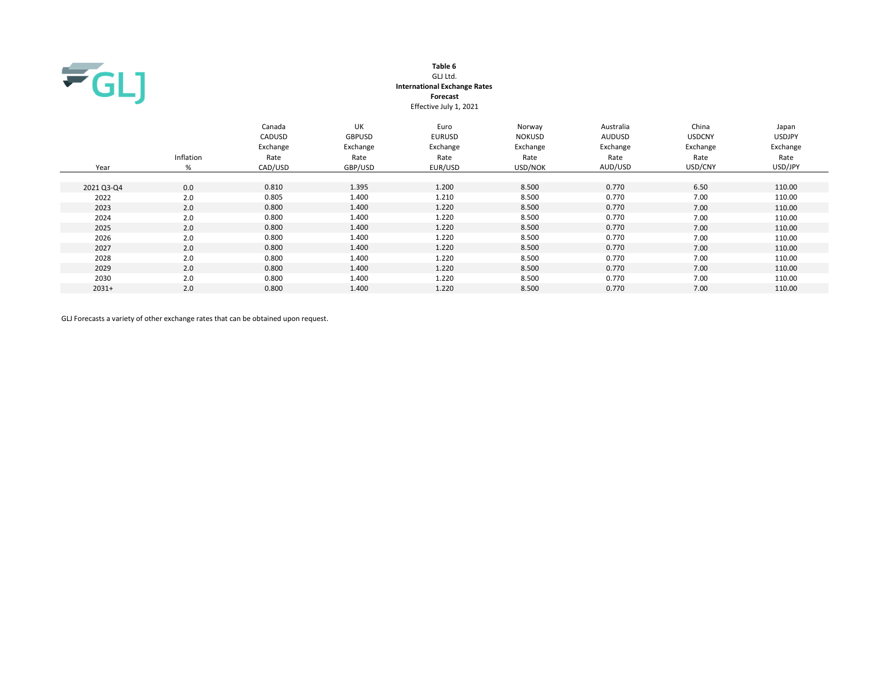

## Table 6 GLJ Ltd. International Exchange Rates Forecast Effective July 1, 2021

| Year       | Inflation<br>% | Canada<br>CADUSD<br>Exchange<br>Rate<br>CAD/USD | <b>UK</b><br><b>GBPUSD</b><br>Exchange<br>Rate<br>GBP/USD | Euro<br><b>EURUSD</b><br>Exchange<br>Rate<br>EUR/USD | Norway<br><b>NOKUSD</b><br>Exchange<br>Rate<br>USD/NOK | Australia<br><b>AUDUSD</b><br>Exchange<br>Rate<br>AUD/USD | China<br><b>USDCNY</b><br>Exchange<br>Rate<br>USD/CNY | Japan<br><b>USDJPY</b><br>Exchange<br>Rate<br>USD/JPY |
|------------|----------------|-------------------------------------------------|-----------------------------------------------------------|------------------------------------------------------|--------------------------------------------------------|-----------------------------------------------------------|-------------------------------------------------------|-------------------------------------------------------|
| 2021 Q3-Q4 | 0.0            | 0.810                                           | 1.395                                                     | 1.200                                                | 8.500                                                  | 0.770                                                     | 6.50                                                  | 110.00                                                |
| 2022       | 2.0            | 0.805                                           | 1.400                                                     | 1.210                                                | 8.500                                                  | 0.770                                                     | 7.00                                                  | 110.00                                                |
| 2023       | 2.0            | 0.800                                           | 1.400                                                     | 1.220                                                | 8.500                                                  | 0.770                                                     | 7.00                                                  | 110.00                                                |
| 2024       | 2.0            | 0.800                                           | 1.400                                                     | 1.220                                                | 8.500                                                  | 0.770                                                     | 7.00                                                  | 110.00                                                |
| 2025       | 2.0            | 0.800                                           | 1.400                                                     | 1.220                                                | 8.500                                                  | 0.770                                                     | 7.00                                                  | 110.00                                                |
| 2026       | 2.0            | 0.800                                           | 1.400                                                     | 1.220                                                | 8.500                                                  | 0.770                                                     | 7.00                                                  | 110.00                                                |
| 2027       | 2.0            | 0.800                                           | 1.400                                                     | 1.220                                                | 8.500                                                  | 0.770                                                     | 7.00                                                  | 110.00                                                |
| 2028       | 2.0            | 0.800                                           | 1.400                                                     | 1.220                                                | 8.500                                                  | 0.770                                                     | 7.00                                                  | 110.00                                                |
| 2029       | 2.0            | 0.800                                           | 1.400                                                     | 1.220                                                | 8.500                                                  | 0.770                                                     | 7.00                                                  | 110.00                                                |
| 2030       | 2.0            | 0.800                                           | 1.400                                                     | 1.220                                                | 8.500                                                  | 0.770                                                     | 7.00                                                  | 110.00                                                |
| $2031+$    | 2.0            | 0.800                                           | 1.400                                                     | 1.220                                                | 8.500                                                  | 0.770                                                     | 7.00                                                  | 110.00                                                |

GLJ Forecasts a variety of other exchange rates that can be obtained upon request.